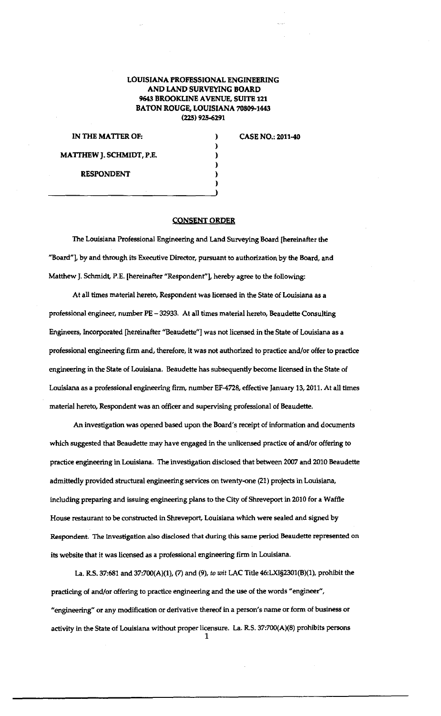## **LOUISIANA PROFESSIONAL ENGINEERING AND LAND SURVEYING BOARD 9643 BROOKLINE A VENUE, SUITE 121 BATON ROUGE, LOUISIANA 70809-1443 (225) 925-6291**

| IN THE MATTER OF:        |  |
|--------------------------|--|
|                          |  |
| MATTHEW J. SCHMIDT, P.E. |  |
|                          |  |
| <b>RESPONDENT</b>        |  |
|                          |  |

**CASE NO.: 2011-40** 

## **CONSENT ORDER**

The Louisiana Professional Engineering and Land Surveying Board [hereinafter the "Board"], by and through its Executive Director, pursuant to authorization by the Board, and Matthew J. Schmidt, P.E. [hereinafter "Respondent"], hereby agree to the following:

At all times material hereto, Respondent was licensed in the State of Louisiana as a professional engineer, number PE- 32933. At all times material hereto, Beaudette Consulting Engineers, Incorporated (hereinafter "Beaudette"] was not licensed in the State of Louisiana as a professional engineering firm and, therefore, it was not authorized to practice and/or offer to practice engineering in the State of Louisiana. Beaudette has subsequently become licensed in the State of Louisiana as a professional engineering firm, number EF-4728, effective January 13, 2011. At all times material hereto, Respondent was an officer and supervising professional of Beaudette.

An investigation was opened based upon the Board's receipt of information and documents which suggested that Beaudette may have engaged in the unlicensed practice of and/or offering to practice engineering in Louisiana. The investigation disclosed that between 2007 and 2010 Beaudette admittedly provided structural engineering services on twenty-one (21) projects in Louisiana, including preparing and issuing engineering plans to the City of Shreveport in 2010 for a Waffle House restaurant to be constructed in Shreveport, Louisiana which were sealed and signed by Respondent. The investigation also disclosed that during this same period Beaudette represented on its website that it was licensed as a professional engineering firm in Louisiana.

La. R.S. 37:681 and 37:700(A)(1), (7) and (9), *to wit* LAC Title 46:LXI§2301(B)(1), prohibit the practicing of and/or offering to practice engineering and the use of the words "engineer'', "engineering" or any modification or derivative thereof in a person's name or form of business or activity in the State of Louisiana without proper licensure. La. R.S. 37:700(A)(8) prohibits persons 1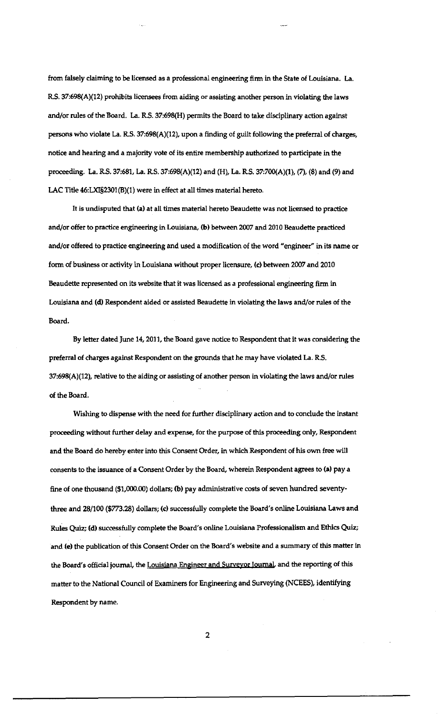from falsely claiming to be licensed as a professional engineering firm in the State of Louisiana. La. RS. 37:698(A)(12) prohibits licensees from aiding or assisting another person in violating the laws and/or rules of the Board. La. RS. 37:698(H) permits the Board to take disciplinary action against persons who violate La. R.S. 37:698(A)(12), upon a finding of guilt following the preferral of charges, notice and hearing and a majority vote of its entire membership authorized to participate in the proceeding. La. RS. 37:681, La. RS. 37:698(A)(12) and (H), La. RS. 37:700(A)(1), (7), (8) and (9) and LAC Title 46:LXI§2301(B)(l) were in effect at all times material hereto.

It is undisputed that (a) at all times material hereto Beaudette was not licensed to practice and/or offer to practice engineering in Louisiana, (b) between 2007 and 2010 Beaudette practiced and/or offered to practice engineering and used a modification of the word "engineer" in its name or form of business or activity in Louisiana without proper licensure, (c) between 2007 and 2010 Beaudette represented on its website that it was licensed as a professional engineering firm in Louisiana and (d) Respondent aided or assisted Beaudette in violating the laws and/or rules of the Board.

By letter dated June 14, 2011, the Board gave notice to Respondent that it was considering the preferral of charges against Respondent on the grounds that he may have violated La. R.S. 37:698(A)(12), relative to the aiding or assisting of another person in violating the laws and/or rules of the Board.

Wishing to dispense with the need for further disciplinary action and to conclude the instant proceeding without further delay and expense, for the purpose of this proceeding only, Respondent and the Board do hereby enter into this Consent Order, in which Respondent of his own free will consents to the issuance of a Consent Order by the Board, wherein Respondent agrees to (a) pay a fine of one thousand (\$1,000.00) dollars; (b) pay administrative costs of seven hundred seventythree and 28/100 (\$773.28) dollars; (c) successfully complete the Board's online Louisiana Laws and Rules Quiz; (d) successfully complete the Board's online Louisiana Professionalism and Ethics Quiz; and (e) the publication of this Consent Order on the Board's website and a summary of this matter in the Board's official journal, the Louisiana Engineer and Surveyor Journal, and the reporting of this matter to the National Council of Examiners for Engineering and Surveying (NCEES), identifying Respondent by name.

2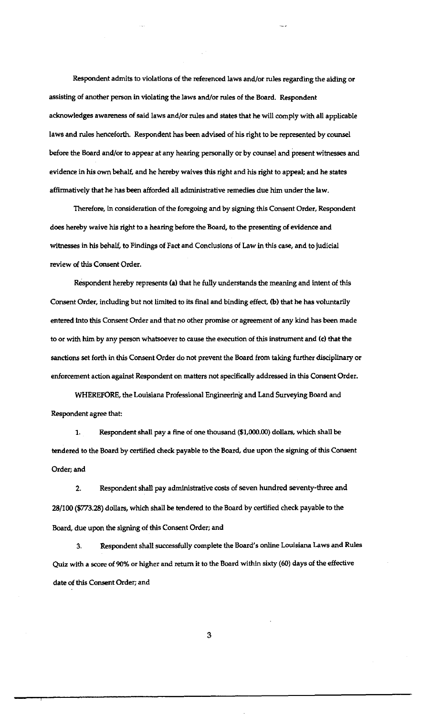Respondent admits to violations of the referenced laws and/or rules regarding the aiding or assisting of another person in violating the laws and/or rules of the Board. Respondent acknowledges awareness of said laws and/or rules and states that he will comply with all applicable laws and rules henceforth. Respondent has been advised of his right to be represented by counsel before the Board and/or to appear at any hearing personally or by counsel and present witnesses and evidence in his own behalf, and he hereby waives this right and his right to appeal; and he states affirmatively that he has been afforded all administrative remedies due him under the law.

Therefore, in consideration of the foregoing and by signing this Consent Order, Respondent does hereby waive his right to a hearing before the Board, to the presenting of evidence and witnesses in his behalf, to Findings of Fact and Conclusions of Law in this case, and to judicial review of this Consent Order.

Respondent hereby represents (a) that he fully understands the meaning and intent of this Consent Order, including but not limited to its final and binding effect, (b) that he has voluntarily entered Into this Consent Order and that no other promise or agreement of any kind has been made to or with him by any person whatsoever to cause the execution of this instrument and (c) that the sanctions set forth in this Consent Order do not prevent the Board from taking further disciplinary or enforcement action against Respondent on matters not specifically addressed in this Consent Order.

WHEREFORE, the Louisiana Professional Engineering and Land Surveying Board and Respondent agree that

1. Respondent shall pay a fine of one thousand (\$1,000.00) dollars, which shall be tendered to the Board by certified check payable to the Board, due upon the signing of this Consent Order; and

2. Respondent shall pay administrative costs of seven hundred seventy-three and 28/100 (\$773.28) dollars, which shall be tendered to the Board by certified check payable to the Board, due upon the signing of this Consent Order; and

3. Respondent shall successfully complete the Board's online Louisiana Laws and Rules Quiz with a score of 90% or higher and return it to the Board within sixty (60) days of the effective date of this Consent Order; and

3